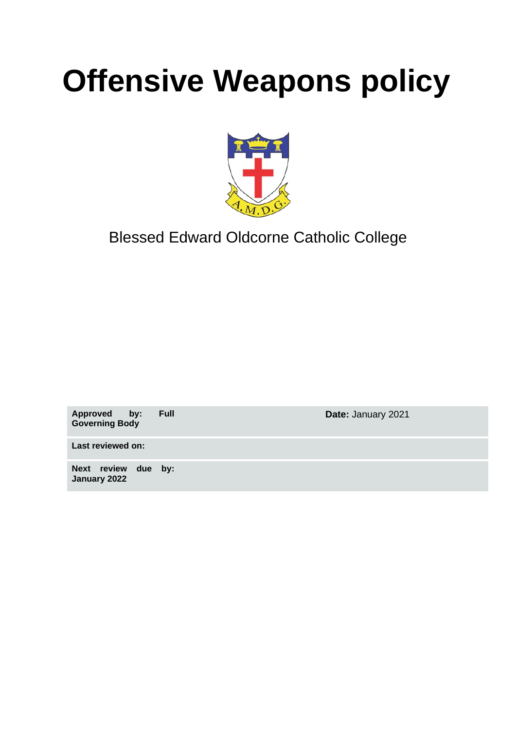# **Offensive Weapons policy**



# Blessed Edward Oldcorne Catholic College

**Approved by: Full Governing Body**

**Date:** January 2021

**Last reviewed on:** 

**Next review due by: January 2022**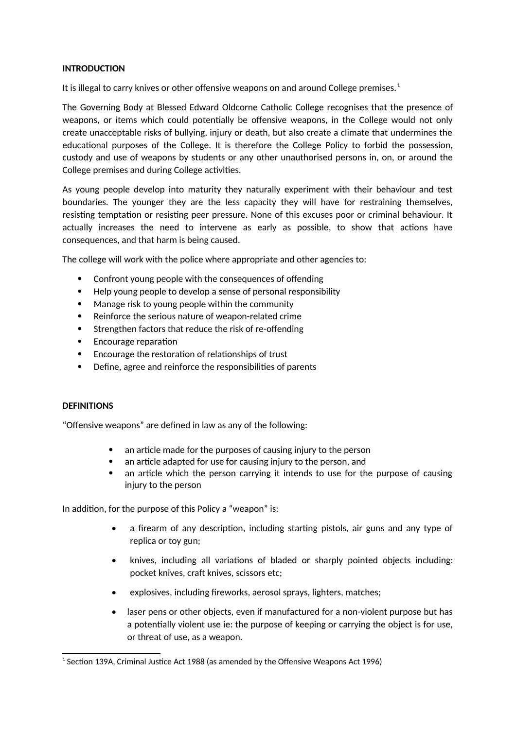#### **INTRODUCTION**

It is illegal to carry knives or other offensive weapons on and around College premises.<sup>[1](#page-1-0)</sup>

The Governing Body at Blessed Edward Oldcorne Catholic College recognises that the presence of weapons, or items which could potentially be offensive weapons, in the College would not only create unacceptable risks of bullying, injury or death, but also create a climate that undermines the educational purposes of the College. It is therefore the College Policy to forbid the possession, custody and use of weapons by students or any other unauthorised persons in, on, or around the College premises and during College activities.

As young people develop into maturity they naturally experiment with their behaviour and test boundaries. The younger they are the less capacity they will have for restraining themselves, resisting temptation or resisting peer pressure. None of this excuses poor or criminal behaviour. It actually increases the need to intervene as early as possible, to show that actions have consequences, and that harm is being caused.

The college will work with the police where appropriate and other agencies to:

- Confront young people with the consequences of offending
- Help young people to develop a sense of personal responsibility
- Manage risk to young people within the community
- Reinforce the serious nature of weapon-related crime
- Strengthen factors that reduce the risk of re-offending
- Encourage reparation
- Encourage the restoration of relationships of trust
- Define, agree and reinforce the responsibilities of parents

#### **DEFINITIONS**

"Offensive weapons" are defined in law as any of the following:

- an article made for the purposes of causing injury to the person
- an article adapted for use for causing injury to the person, and
- an article which the person carrying it intends to use for the purpose of causing injury to the person

In addition, for the purpose of this Policy a "weapon" is:

- a firearm of any description, including starting pistols, air guns and any type of replica or toy gun;
- knives, including all variations of bladed or sharply pointed objects including: pocket knives, craft knives, scissors etc;
- explosives, including fireworks, aerosol sprays, lighters, matches;
- laser pens or other objects, even if manufactured for a non-violent purpose but has a potentially violent use ie: the purpose of keeping or carrying the object is for use, or threat of use, as a weapon.

<span id="page-1-0"></span> $^{\rm 1}$  Section 139A, Criminal Justice Act 1988 (as amended by the Offensive Weapons Act 1996)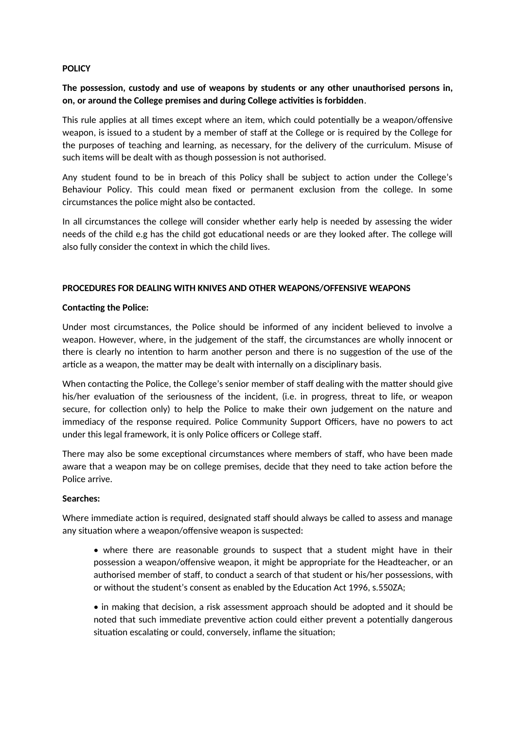#### **POLICY**

# **The possession, custody and use of weapons by students or any other unauthorised persons in, on, or around the College premises and during College activities is forbidden**.

This rule applies at all times except where an item, which could potentially be a weapon/offensive weapon, is issued to a student by a member of staff at the College or is required by the College for the purposes of teaching and learning, as necessary, for the delivery of the curriculum. Misuse of such items will be dealt with as though possession is not authorised.

Any student found to be in breach of this Policy shall be subject to action under the College's Behaviour Policy. This could mean fixed or permanent exclusion from the college. In some circumstances the police might also be contacted.

In all circumstances the college will consider whether early help is needed by assessing the wider needs of the child e.g has the child got educational needs or are they looked after. The college will also fully consider the context in which the child lives.

#### **PROCEDURES FOR DEALING WITH KNIVES AND OTHER WEAPONS/OFFENSIVE WEAPONS**

#### **Contacting the Police:**

Under most circumstances, the Police should be informed of any incident believed to involve a weapon. However, where, in the judgement of the staff, the circumstances are wholly innocent or there is clearly no intention to harm another person and there is no suggestion of the use of the article as a weapon, the matter may be dealt with internally on a disciplinary basis.

When contacting the Police, the College's senior member of staff dealing with the matter should give his/her evaluation of the seriousness of the incident, (i.e. in progress, threat to life, or weapon secure, for collection only) to help the Police to make their own judgement on the nature and immediacy of the response required. Police Community Support Officers, have no powers to act under this legal framework, it is only Police officers or College staff.

There may also be some exceptional circumstances where members of staff, who have been made aware that a weapon may be on college premises, decide that they need to take action before the Police arrive.

#### **Searches:**

Where immediate action is required, designated staff should always be called to assess and manage any situation where a weapon/offensive weapon is suspected:

• where there are reasonable grounds to suspect that a student might have in their possession a weapon/offensive weapon, it might be appropriate for the Headteacher, or an authorised member of staff, to conduct a search of that student or his/her possessions, with or without the student's consent as enabled by the Education Act 1996, s.550ZA;

• in making that decision, a risk assessment approach should be adopted and it should be noted that such immediate preventive action could either prevent a potentially dangerous situation escalating or could, conversely, inflame the situation;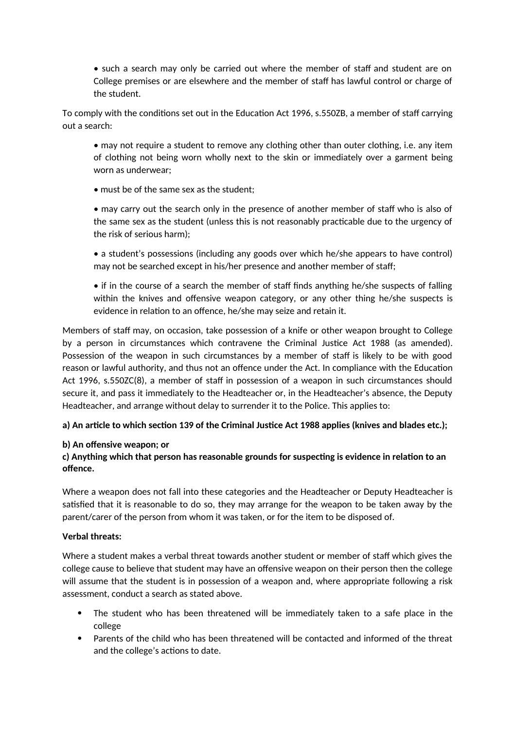• such a search may only be carried out where the member of staff and student are on College premises or are elsewhere and the member of staff has lawful control or charge of the student.

To comply with the conditions set out in the Education Act 1996, s.550ZB, a member of staff carrying out a search:

• may not require a student to remove any clothing other than outer clothing, i.e. any item of clothing not being worn wholly next to the skin or immediately over a garment being worn as underwear;

• must be of the same sex as the student;

• may carry out the search only in the presence of another member of staff who is also of the same sex as the student (unless this is not reasonably practicable due to the urgency of the risk of serious harm);

• a student's possessions (including any goods over which he/she appears to have control) may not be searched except in his/her presence and another member of staff;

• if in the course of a search the member of staff finds anything he/she suspects of falling within the knives and offensive weapon category, or any other thing he/she suspects is evidence in relation to an offence, he/she may seize and retain it.

Members of staff may, on occasion, take possession of a knife or other weapon brought to College by a person in circumstances which contravene the Criminal Justice Act 1988 (as amended). Possession of the weapon in such circumstances by a member of staff is likely to be with good reason or lawful authority, and thus not an offence under the Act. In compliance with the Education Act 1996, s.550ZC(8), a member of staff in possession of a weapon in such circumstances should secure it, and pass it immediately to the Headteacher or, in the Headteacher's absence, the Deputy Headteacher, and arrange without delay to surrender it to the Police. This applies to:

**a) An article to which section 139 of the Criminal Justice Act 1988 applies (knives and blades etc.);** 

### **b) An offensive weapon; or**

# **c) Anything which that person has reasonable grounds for suspecting is evidence in relation to an offence.**

Where a weapon does not fall into these categories and the Headteacher or Deputy Headteacher is satisfied that it is reasonable to do so, they may arrange for the weapon to be taken away by the parent/carer of the person from whom it was taken, or for the item to be disposed of.

#### **Verbal threats:**

Where a student makes a verbal threat towards another student or member of staff which gives the college cause to believe that student may have an offensive weapon on their person then the college will assume that the student is in possession of a weapon and, where appropriate following a risk assessment, conduct a search as stated above.

- The student who has been threatened will be immediately taken to a safe place in the college
- Parents of the child who has been threatened will be contacted and informed of the threat and the college's actions to date.